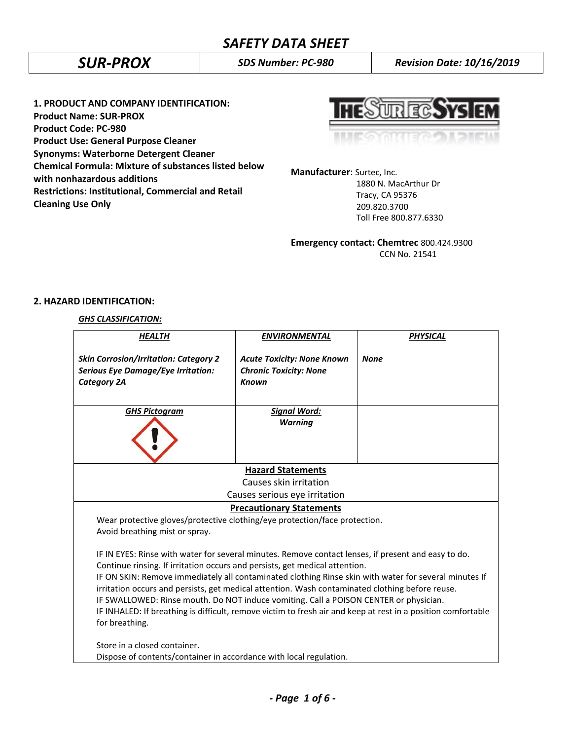*SUR-PROX SDS Number: PC-980 Revision Date: 10/16/2019*

**1. PRODUCT AND COMPANY IDENTIFICATION: Product Name: SUR-PROX Product Code: PC-980 Product Use: General Purpose Cleaner Synonyms: Waterborne Detergent Cleaner Chemical Formula: Mixture of substances listed below with nonhazardous additions Restrictions: Institutional, Commercial and Retail Cleaning Use Only**

**HESURECSYSIEM** 

**Manufacturer**: Surtec, Inc.

 1880 N. MacArthur Dr Tracy, CA 95376 209.820.3700 Toll Free 800.877.6330

**Emergency contact: Chemtrec** 800.424.9300 CCN No. 21541

# **2. HAZARD IDENTIFICATION:**

# *GHS CLASSIFICATION:*

| <b>HEALTH</b>                                                                                                                                                                                                                                                                                                                                                                                                                                                                                                                                                                                                             | <b>ENVIRONMENTAL</b>                                                               | <b>PHYSICAL</b> |  |  |
|---------------------------------------------------------------------------------------------------------------------------------------------------------------------------------------------------------------------------------------------------------------------------------------------------------------------------------------------------------------------------------------------------------------------------------------------------------------------------------------------------------------------------------------------------------------------------------------------------------------------------|------------------------------------------------------------------------------------|-----------------|--|--|
| <b>Skin Corrosion/Irritation: Category 2</b><br><b>Serious Eye Damage/Eye Irritation:</b><br><b>Category 2A</b>                                                                                                                                                                                                                                                                                                                                                                                                                                                                                                           | <b>Acute Toxicity: None Known</b><br><b>Chronic Toxicity: None</b><br><b>Known</b> | <b>None</b>     |  |  |
| <b>GHS Pictogram</b>                                                                                                                                                                                                                                                                                                                                                                                                                                                                                                                                                                                                      | <b>Signal Word:</b><br><b>Warning</b>                                              |                 |  |  |
| <b>Hazard Statements</b>                                                                                                                                                                                                                                                                                                                                                                                                                                                                                                                                                                                                  |                                                                                    |                 |  |  |
|                                                                                                                                                                                                                                                                                                                                                                                                                                                                                                                                                                                                                           | Causes skin irritation                                                             |                 |  |  |
|                                                                                                                                                                                                                                                                                                                                                                                                                                                                                                                                                                                                                           | Causes serious eye irritation                                                      |                 |  |  |
|                                                                                                                                                                                                                                                                                                                                                                                                                                                                                                                                                                                                                           | <b>Precautionary Statements</b>                                                    |                 |  |  |
| Wear protective gloves/protective clothing/eye protection/face protection.<br>Avoid breathing mist or spray.                                                                                                                                                                                                                                                                                                                                                                                                                                                                                                              |                                                                                    |                 |  |  |
| IF IN EYES: Rinse with water for several minutes. Remove contact lenses, if present and easy to do.<br>Continue rinsing. If irritation occurs and persists, get medical attention.<br>IF ON SKIN: Remove immediately all contaminated clothing Rinse skin with water for several minutes If<br>irritation occurs and persists, get medical attention. Wash contaminated clothing before reuse.<br>IF SWALLOWED: Rinse mouth. Do NOT induce vomiting. Call a POISON CENTER or physician.<br>IF INHALED: If breathing is difficult, remove victim to fresh air and keep at rest in a position comfortable<br>for breathing. |                                                                                    |                 |  |  |
| Store in a closed container.                                                                                                                                                                                                                                                                                                                                                                                                                                                                                                                                                                                              |                                                                                    |                 |  |  |
| Dispose of contents/container in accordance with local regulation.                                                                                                                                                                                                                                                                                                                                                                                                                                                                                                                                                        |                                                                                    |                 |  |  |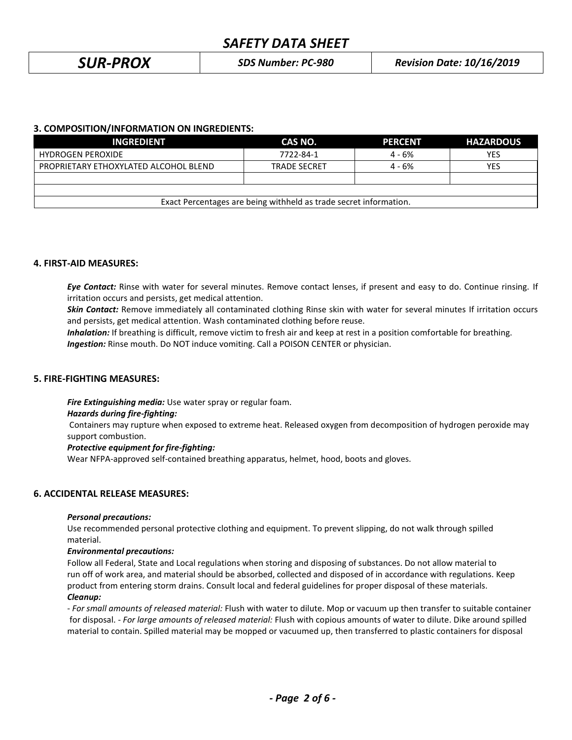*SUR-PROX SDS Number: PC-980 Revision Date: 10/16/2019*

# **3. COMPOSITION/INFORMATION ON INGREDIENTS:**

| <b>INGREDIENT</b>                                                 | CAS NO.             | <b>PERCENT</b> | <b>HAZARDOUS</b> |
|-------------------------------------------------------------------|---------------------|----------------|------------------|
| <b>HYDROGEN PEROXIDE</b>                                          | 7722-84-1           | $4 - 6%$       | YES              |
| PROPRIETARY ETHOXYLATED ALCOHOL BLEND                             | <b>TRADE SECRET</b> | $4 - 6%$       | YES              |
|                                                                   |                     |                |                  |
|                                                                   |                     |                |                  |
| Exact Percentages are being withheld as trade secret information. |                     |                |                  |

# **4. FIRST-AID MEASURES:**

*Eye Contact:* Rinse with water for several minutes. Remove contact lenses, if present and easy to do. Continue rinsing. If irritation occurs and persists, get medical attention.

*Skin Contact:* Remove immediately all contaminated clothing Rinse skin with water for several minutes If irritation occurs and persists, get medical attention. Wash contaminated clothing before reuse.

*Inhalation:* If breathing is difficult, remove victim to fresh air and keep at rest in a position comfortable for breathing. *Ingestion:* Rinse mouth. Do NOT induce vomiting. Call a POISON CENTER or physician.

# **5. FIRE-FIGHTING MEASURES:**

*Fire Extinguishing media:* Use water spray or regular foam.

#### *Hazards during fire-fighting:*

Containers may rupture when exposed to extreme heat. Released oxygen from decomposition of hydrogen peroxide may support combustion.

#### *Protective equipment for fire-fighting:*

Wear NFPA-approved self-contained breathing apparatus, helmet, hood, boots and gloves.

# **6. ACCIDENTAL RELEASE MEASURES:**

#### *Personal precautions:*

Use recommended personal protective clothing and equipment. To prevent slipping, do not walk through spilled material.

#### *Environmental precautions:*

Follow all Federal, State and Local regulations when storing and disposing of substances. Do not allow material to run off of work area, and material should be absorbed, collected and disposed of in accordance with regulations. Keep product from entering storm drains. Consult local and federal guidelines for proper disposal of these materials. *Cleanup:*

*- For small amounts of released material:* Flush with water to dilute. Mop or vacuum up then transfer to suitable container for disposal. - *For large amounts of released material:* Flush with copious amounts of water to dilute. Dike around spilled material to contain. Spilled material may be mopped or vacuumed up, then transferred to plastic containers for disposal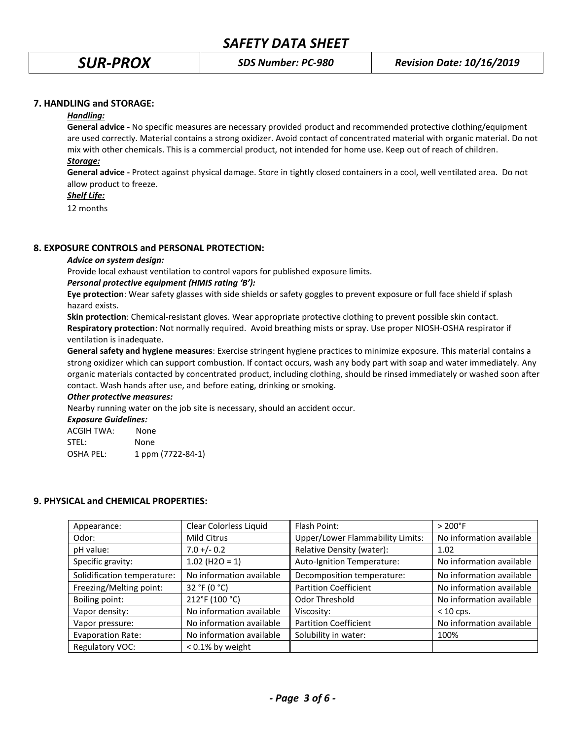# **7. HANDLING and STORAGE:**

#### *Handling:*

**General advice -** No specific measures are necessary provided product and recommended protective clothing/equipment are used correctly. Material contains a strong oxidizer. Avoid contact of concentrated material with organic material. Do not mix with other chemicals. This is a commercial product, not intended for home use. Keep out of reach of children.

# *Storage:*

**General advice -** Protect against physical damage. Store in tightly closed containers in a cool, well ventilated area. Do not allow product to freeze.

# *Shelf Life:*

12 months

# **8. EXPOSURE CONTROLS and PERSONAL PROTECTION:**

#### *Advice on system design:*

Provide local exhaust ventilation to control vapors for published exposure limits.

## *Personal protective equipment (HMIS rating 'B'):*

**Eye protection**: Wear safety glasses with side shields or safety goggles to prevent exposure or full face shield if splash hazard exists.

**Skin protection**: Chemical-resistant gloves. Wear appropriate protective clothing to prevent possible skin contact. **Respiratory protection**: Not normally required. Avoid breathing mists or spray. Use proper NIOSH-OSHA respirator if ventilation is inadequate.

**General safety and hygiene measures**: Exercise stringent hygiene practices to minimize exposure. This material contains a strong oxidizer which can support combustion. If contact occurs, wash any body part with soap and water immediately. Any organic materials contacted by concentrated product, including clothing, should be rinsed immediately or washed soon after contact. Wash hands after use, and before eating, drinking or smoking.

#### *Other protective measures:*

Nearby running water on the job site is necessary, should an accident occur.

## *Exposure Guidelines:*

| ACGIH TWA: | None              |
|------------|-------------------|
| STEL:      | None              |
| OSHA PEL:  | 1 ppm (7722-84-1) |

# **9. PHYSICAL and CHEMICAL PROPERTIES:**

| Appearance:                 | Clear Colorless Liquid   | Flash Point:                            | $>200^{\circ}$ F         |
|-----------------------------|--------------------------|-----------------------------------------|--------------------------|
| Odor:                       | Mild Citrus              | <b>Upper/Lower Flammability Limits:</b> | No information available |
| pH value:                   | $7.0 +/- 0.2$            | Relative Density (water):               | 1.02                     |
| Specific gravity:           | $1.02$ (H2O = 1)         | Auto-Ignition Temperature:              | No information available |
| Solidification temperature: | No information available | Decomposition temperature:              | No information available |
| Freezing/Melting point:     | 32 °F (0 $^{\circ}$ C)   | <b>Partition Coefficient</b>            | No information available |
| Boiling point:              | 212°F (100 °C)           | Odor Threshold                          | No information available |
| Vapor density:              | No information available | Viscosity:                              | $< 10$ cps.              |
| Vapor pressure:             | No information available | <b>Partition Coefficient</b>            | No information available |
| <b>Evaporation Rate:</b>    | No information available | Solubility in water:                    | 100%                     |
| Regulatory VOC:             | $< 0.1\%$ by weight      |                                         |                          |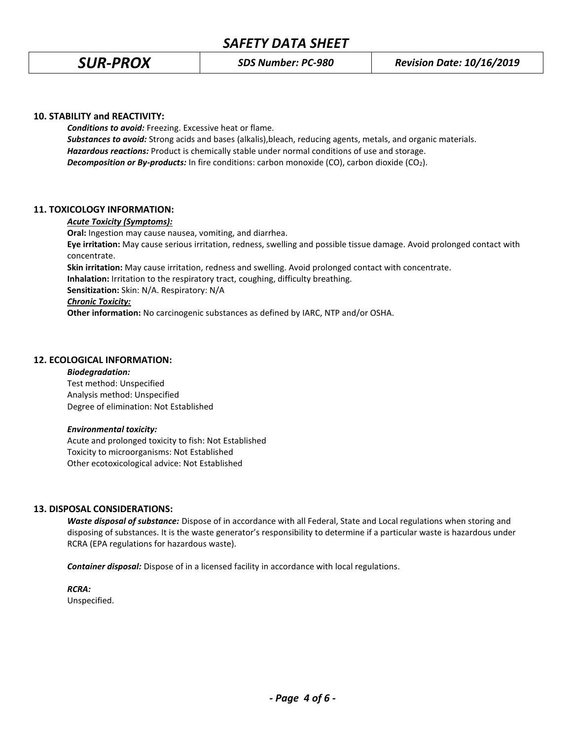## **10. STABILITY and REACTIVITY:**

*Conditions to avoid:* Freezing. Excessive heat or flame. *Substances to avoid:* Strong acids and bases (alkalis),bleach, reducing agents, metals, and organic materials. *Hazardous reactions:* Product is chemically stable under normal conditions of use and storage. **Decomposition or By-products:** In fire conditions: carbon monoxide (CO), carbon dioxide (CO<sub>2</sub>).

## **11. TOXICOLOGY INFORMATION:**

#### *Acute Toxicity (Symptoms):*

**Oral:** Ingestion may cause nausea, vomiting, and diarrhea. **Eye irritation:** May cause serious irritation, redness, swelling and possible tissue damage. Avoid prolonged contact with concentrate.

**Skin irritation:** May cause irritation, redness and swelling. Avoid prolonged contact with concentrate. **Inhalation:** Irritation to the respiratory tract, coughing, difficulty breathing.

**Sensitization:** Skin: N/A. Respiratory: N/A

# *Chronic Toxicity:*

**Other information:** No carcinogenic substances as defined by IARC, NTP and/or OSHA.

## **12. ECOLOGICAL INFORMATION:**

#### *Biodegradation:*

Test method: Unspecified Analysis method: Unspecified Degree of elimination: Not Established

#### *Environmental toxicity:*

Acute and prolonged toxicity to fish: Not Established Toxicity to microorganisms: Not Established Other ecotoxicological advice: Not Established

# **13. DISPOSAL CONSIDERATIONS:**

*Waste disposal of substance:* Dispose of in accordance with all Federal, State and Local regulations when storing and disposing of substances. It is the waste generator's responsibility to determine if a particular waste is hazardous under RCRA (EPA regulations for hazardous waste).

*Container disposal:* Dispose of in a licensed facility in accordance with local regulations.

*RCRA:*

Unspecified.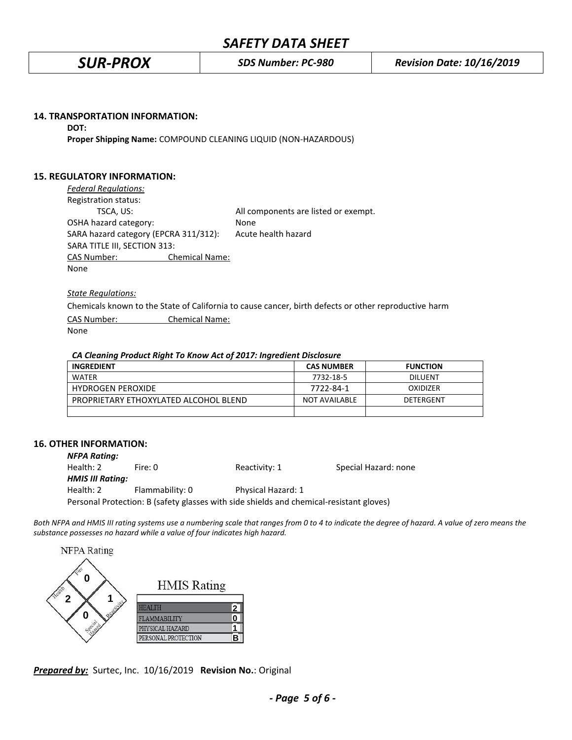#### **14. TRANSPORTATION INFORMATION:**

#### **DOT:**

**Proper Shipping Name:** COMPOUND CLEANING LIQUID (NON-HAZARDOUS)

# **15. REGULATORY INFORMATION:**

| <b>Federal Regulations:</b>           |                       |                                      |
|---------------------------------------|-----------------------|--------------------------------------|
| Registration status:                  |                       |                                      |
| TSCA, US:                             |                       | All components are listed or exempt. |
| OSHA hazard category:                 |                       | None                                 |
| SARA hazard category (EPCRA 311/312): |                       | Acute health hazard                  |
| SARA TITLE III, SECTION 313:          |                       |                                      |
| <b>CAS Number:</b>                    | <b>Chemical Name:</b> |                                      |
| None                                  |                       |                                      |

*State Regulations:*

Chemicals known to the State of California to cause cancer, birth defects or other reproductive harm CAS Number: Chemical Name: None

#### *CA Cleaning Product Right To Know Act of 2017: Ingredient Disclosure*

| <b>INGREDIENT</b>                     | <b>CAS NUMBER</b>    | <b>FUNCTION</b> |
|---------------------------------------|----------------------|-----------------|
| <b>WATFR</b>                          | 7732-18-5            | <b>DILUENT</b>  |
| <b>HYDROGEN PEROXIDE</b>              | 7722-84-1            | OXIDIZER        |
| PROPRIETARY ETHOXYLATED ALCOHOL BLEND | <b>NOT AVAILABLE</b> | DETERGENT       |
|                                       |                      |                 |

# **16. OTHER INFORMATION:**

| <b>NFPA Rating:</b>     |                 |                                                                                         |                      |
|-------------------------|-----------------|-----------------------------------------------------------------------------------------|----------------------|
| Health: 2               | Fire: 0         | Reactivity: 1                                                                           | Special Hazard: none |
| <b>HMIS III Rating:</b> |                 |                                                                                         |                      |
| Health: 2               | Flammability: 0 | Physical Hazard: 1                                                                      |                      |
|                         |                 | Personal Protection: B (safety glasses with side shields and chemical-resistant gloves) |                      |

*Both NFPA and HMIS III rating systems use a numbering scale that ranges from 0 to 4 to indicate the degree of hazard. A value of zero means the substance possesses no hazard while a value of four indicates high hazard.*

| <b>NFPA</b> Rating |                     |   |
|--------------------|---------------------|---|
| O                  | <b>HMIS Rating</b>  |   |
|                    | HEALTH              | 2 |
| n                  | FLAMMABILITY        |   |
|                    | PHYSICAL HAZARD     |   |
|                    | PERSONAL PROTECTION |   |

*Prepared by:* Surtec, Inc. 10/16/2019 **Revision No.**: Original